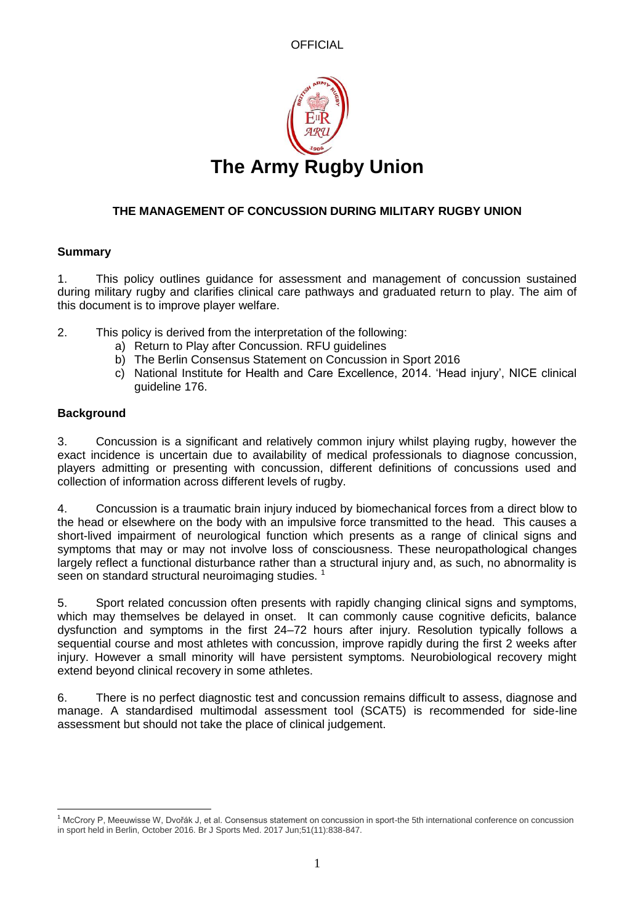

## **THE MANAGEMENT OF CONCUSSION DURING MILITARY RUGBY UNION**

#### **Summary**

1. This policy outlines guidance for assessment and management of concussion sustained during military rugby and clarifies clinical care pathways and graduated return to play. The aim of this document is to improve player welfare.

- 2. This policy is derived from the interpretation of the following:
	- a) Return to Play after Concussion. RFU guidelines
	- b) The Berlin Consensus Statement on Concussion in Sport 2016
	- c) National Institute for Health and Care Excellence, 2014. 'Head injury', NICE clinical guideline 176.

### **Background**

3. Concussion is a significant and relatively common injury whilst playing rugby, however the exact incidence is uncertain due to availability of medical professionals to diagnose concussion, players admitting or presenting with concussion, different definitions of concussions used and collection of information across different levels of rugby.

4. Concussion is a traumatic brain injury induced by biomechanical forces from a direct blow to the head or elsewhere on the body with an impulsive force transmitted to the head. This causes a short-lived impairment of neurological function which presents as a range of clinical signs and symptoms that may or may not involve loss of consciousness. These neuropathological changes largely reflect a functional disturbance rather than a structural injury and, as such, no abnormality is seen on standard structural neuroimaging studies.<sup>1</sup>

5. Sport related concussion often presents with rapidly changing clinical signs and symptoms, which may themselves be delayed in onset. It can commonly cause cognitive deficits, balance dysfunction and symptoms in the first 24–72 hours after injury. Resolution typically follows a sequential course and most athletes with concussion, improve rapidly during the first 2 weeks after injury. However a small minority will have persistent symptoms. Neurobiological recovery might extend beyond clinical recovery in some athletes.

6. There is no perfect diagnostic test and concussion remains difficult to assess, diagnose and manage. A standardised multimodal assessment tool (SCAT5) is recommended for side-line assessment but should not take the place of clinical judgement.

<sup>1</sup> <sup>1</sup> McCrory P, Meeuwisse W, Dvořák J, et al. Consensus statement on concussion in sport-the 5th international conference on concussion in sport held in Berlin, October 2016. Br J Sports Med. 2017 Jun;51(11):838-847.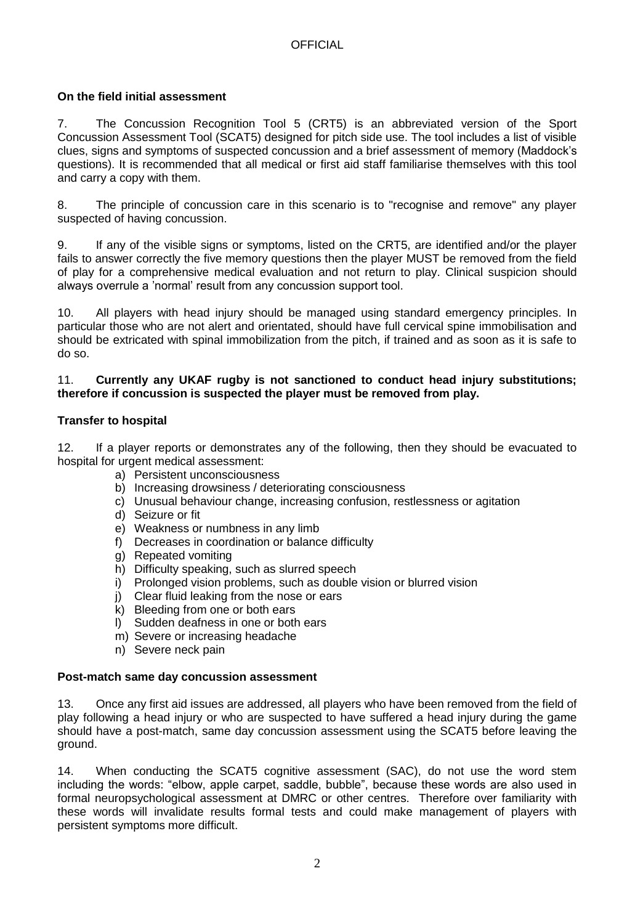#### **On the field initial assessment**

7. The Concussion Recognition Tool 5 (CRT5) is an abbreviated version of the Sport Concussion Assessment Tool (SCAT5) designed for pitch side use. The tool includes a list of visible clues, signs and symptoms of suspected concussion and a brief assessment of memory (Maddock's questions). It is recommended that all medical or first aid staff familiarise themselves with this tool and carry a copy with them.

8. The principle of concussion care in this scenario is to "recognise and remove" any player suspected of having concussion.

9. If any of the visible signs or symptoms, listed on the CRT5, are identified and/or the player fails to answer correctly the five memory questions then the player MUST be removed from the field of play for a comprehensive medical evaluation and not return to play. Clinical suspicion should always overrule a 'normal' result from any concussion support tool.

10. All players with head injury should be managed using standard emergency principles. In particular those who are not alert and orientated, should have full cervical spine immobilisation and should be extricated with spinal immobilization from the pitch, if trained and as soon as it is safe to do so.

#### 11. **Currently any UKAF rugby is not sanctioned to conduct head injury substitutions; therefore if concussion is suspected the player must be removed from play.**

#### **Transfer to hospital**

12. If a player reports or demonstrates any of the following, then they should be evacuated to hospital for urgent medical assessment:

- a) Persistent unconsciousness
- b) Increasing drowsiness / deteriorating consciousness
- c) Unusual behaviour change, increasing confusion, restlessness or agitation
- d) Seizure or fit
- e) Weakness or numbness in any limb
- f) Decreases in coordination or balance difficulty
- g) Repeated vomiting
- h) Difficulty speaking, such as slurred speech
- i) Prolonged vision problems, such as double vision or blurred vision
- j) Clear fluid leaking from the nose or ears
- k) Bleeding from one or both ears
- l) Sudden deafness in one or both ears
- m) Severe or increasing headache
- n) Severe neck pain

#### **Post-match same day concussion assessment**

13. Once any first aid issues are addressed, all players who have been removed from the field of play following a head injury or who are suspected to have suffered a head injury during the game should have a post-match, same day concussion assessment using the SCAT5 before leaving the ground.

14. When conducting the SCAT5 cognitive assessment (SAC), do not use the word stem including the words: "elbow, apple carpet, saddle, bubble", because these words are also used in formal neuropsychological assessment at DMRC or other centres. Therefore over familiarity with these words will invalidate results formal tests and could make management of players with persistent symptoms more difficult.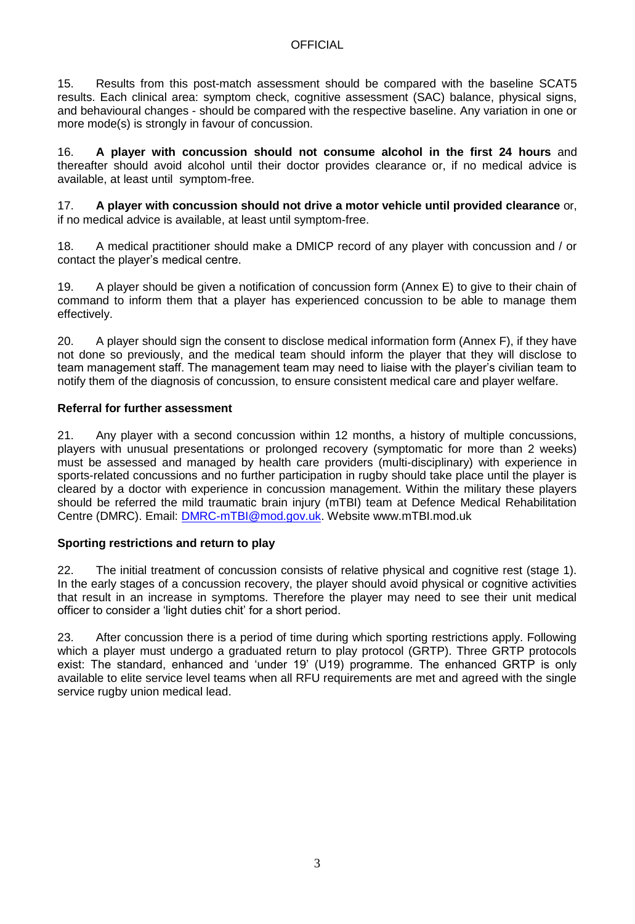15. Results from this post-match assessment should be compared with the baseline SCAT5 results. Each clinical area: symptom check, cognitive assessment (SAC) balance, physical signs, and behavioural changes - should be compared with the respective baseline. Any variation in one or more mode(s) is strongly in favour of concussion.

16. **A player with concussion should not consume alcohol in the first 24 hours** and thereafter should avoid alcohol until their doctor provides clearance or, if no medical advice is available, at least until symptom-free.

17. **A player with concussion should not drive a motor vehicle until provided clearance** or, if no medical advice is available, at least until symptom-free.

18. A medical practitioner should make a DMICP record of any player with concussion and / or contact the player's medical centre.

19. A player should be given a notification of concussion form (Annex E) to give to their chain of command to inform them that a player has experienced concussion to be able to manage them effectively.

20. A player should sign the consent to disclose medical information form (Annex F), if they have not done so previously, and the medical team should inform the player that they will disclose to team management staff. The management team may need to liaise with the player's civilian team to notify them of the diagnosis of concussion, to ensure consistent medical care and player welfare.

#### **Referral for further assessment**

21. Any player with a second concussion within 12 months, a history of multiple concussions, players with unusual presentations or prolonged recovery (symptomatic for more than 2 weeks) must be assessed and managed by health care providers (multi-disciplinary) with experience in sports-related concussions and no further participation in rugby should take place until the player is cleared by a doctor with experience in concussion management. Within the military these players should be referred the mild traumatic brain injury (mTBI) team at Defence Medical Rehabilitation Centre (DMRC). Email: [DMRC-mTBI@mod.gov.uk.](mailto:DMRC-mTBI@mod.gov.uk) Website [www.mTBI.mod.uk](http://www.mtbi.mod.uk/)

#### **Sporting restrictions and return to play**

22. The initial treatment of concussion consists of relative physical and cognitive rest (stage 1). In the early stages of a concussion recovery, the player should avoid physical or cognitive activities that result in an increase in symptoms. Therefore the player may need to see their unit medical officer to consider a 'light duties chit' for a short period.

23. After concussion there is a period of time during which sporting restrictions apply. Following which a player must undergo a graduated return to play protocol (GRTP). Three GRTP protocols exist: The standard, enhanced and 'under 19' (U19) programme. The enhanced GRTP is only available to elite service level teams when all RFU requirements are met and agreed with the single service rugby union medical lead.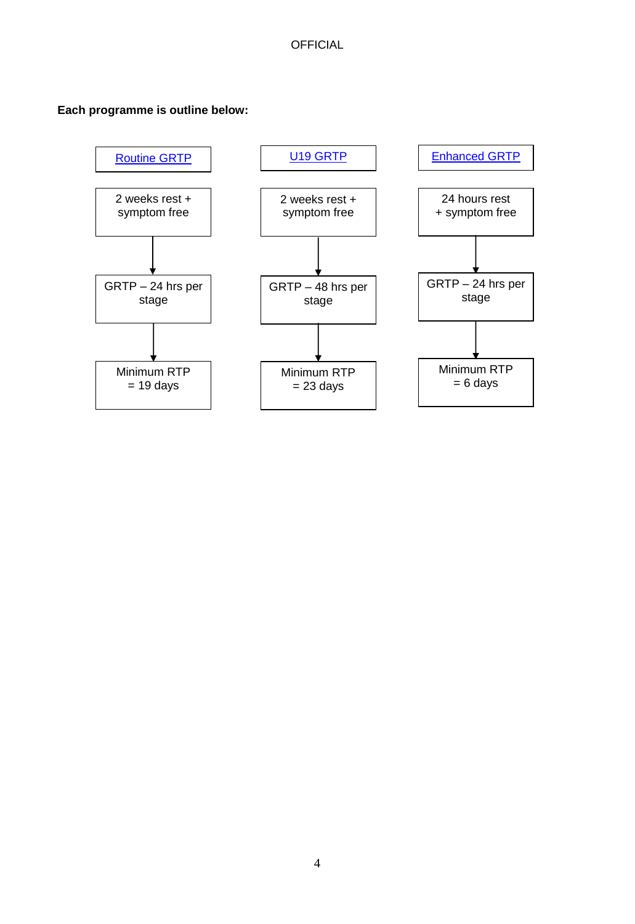#### **Each programme is outline below:**

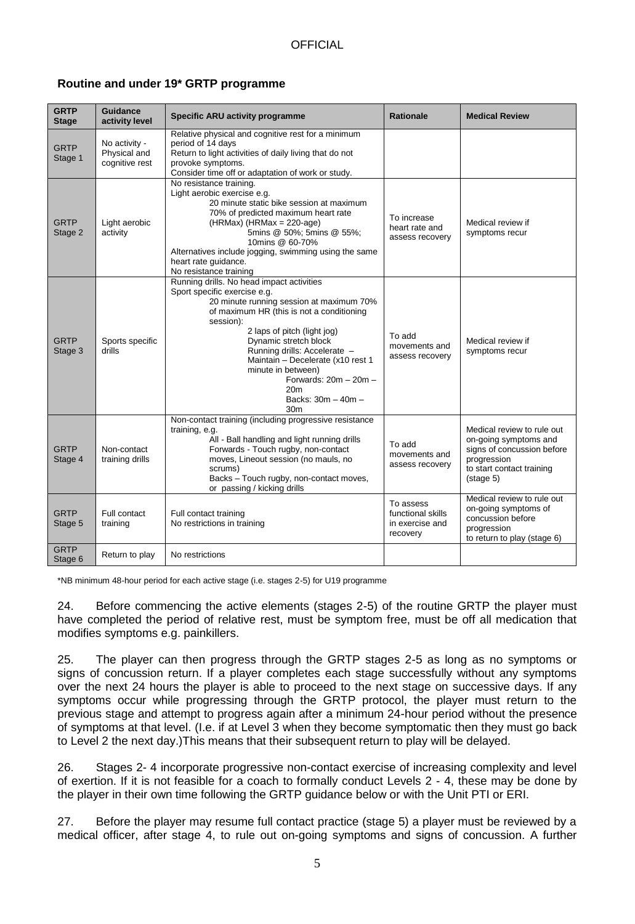<span id="page-4-0"></span>

| Routine and under 19* GRTP programme |  |  |  |
|--------------------------------------|--|--|--|
|--------------------------------------|--|--|--|

| <b>GRTP</b><br><b>Stage</b> | <b>Guidance</b><br>activity level               | <b>Specific ARU activity programme</b>                                                                                                                                                                                                                                                                                                                                                                        | <b>Rationale</b>                                              | <b>Medical Review</b>                                                                                                                      |
|-----------------------------|-------------------------------------------------|---------------------------------------------------------------------------------------------------------------------------------------------------------------------------------------------------------------------------------------------------------------------------------------------------------------------------------------------------------------------------------------------------------------|---------------------------------------------------------------|--------------------------------------------------------------------------------------------------------------------------------------------|
| <b>GRTP</b><br>Stage 1      | No activity -<br>Physical and<br>cognitive rest | Relative physical and cognitive rest for a minimum<br>period of 14 days<br>Return to light activities of daily living that do not<br>provoke symptoms.<br>Consider time off or adaptation of work or study.                                                                                                                                                                                                   |                                                               |                                                                                                                                            |
| <b>GRTP</b><br>Stage 2      | Light aerobic<br>activity                       | No resistance training.<br>Light aerobic exercise e.g.<br>20 minute static bike session at maximum<br>70% of predicted maximum heart rate<br>$(HRMax)$ (HRMax = 220-age)<br>5mins @ 50%; 5mins @ 55%;<br>10mins @ 60-70%<br>Alternatives include jogging, swimming using the same<br>heart rate guidance.<br>No resistance training                                                                           | To increase<br>heart rate and<br>assess recovery              | Medical review if<br>symptoms recur                                                                                                        |
| <b>GRTP</b><br>Stage 3      | Sports specific<br>drills                       | Running drills. No head impact activities<br>Sport specific exercise e.g.<br>20 minute running session at maximum 70%<br>of maximum HR (this is not a conditioning<br>session):<br>2 laps of pitch (light jog)<br>Dynamic stretch block<br>Running drills: Accelerate -<br>Maintain - Decelerate (x10 rest 1<br>minute in between)<br>Forwards: $20m - 20m -$<br>20 <sub>m</sub><br>Backs: 30m - 40m -<br>30m | To add<br>movements and<br>assess recovery                    | Medical review if<br>symptoms recur                                                                                                        |
| <b>GRTP</b><br>Stage 4      | Non-contact<br>training drills                  | Non-contact training (including progressive resistance<br>training, e.g.<br>All - Ball handling and light running drills<br>Forwards - Touch rugby, non-contact<br>moves, Lineout session (no mauls, no<br>scrums)<br>Backs - Touch rugby, non-contact moves,<br>or passing / kicking drills                                                                                                                  | To add<br>movements and<br>assess recovery                    | Medical review to rule out<br>on-going symptoms and<br>signs of concussion before<br>progression<br>to start contact training<br>(stage 5) |
| <b>GRTP</b><br>Stage 5      | Full contact<br>training                        | Full contact training<br>No restrictions in training                                                                                                                                                                                                                                                                                                                                                          | To assess<br>functional skills<br>in exercise and<br>recovery | Medical review to rule out<br>on-going symptoms of<br>concussion before<br>progression<br>to return to play (stage 6)                      |
| <b>GRTP</b><br>Stage 6      | Return to play                                  | No restrictions                                                                                                                                                                                                                                                                                                                                                                                               |                                                               |                                                                                                                                            |

\*NB minimum 48-hour period for each active stage (i.e. stages 2-5) for U19 programme

24. Before commencing the active elements (stages 2-5) of the routine GRTP the player must have completed the period of relative rest, must be symptom free, must be off all medication that modifies symptoms e.g. painkillers.

25. The player can then progress through the GRTP stages 2-5 as long as no symptoms or signs of concussion return. If a player completes each stage successfully without any symptoms over the next 24 hours the player is able to proceed to the next stage on successive days. If any symptoms occur while progressing through the GRTP protocol, the player must return to the previous stage and attempt to progress again after a minimum 24-hour period without the presence of symptoms at that level. (I.e. if at Level 3 when they become symptomatic then they must go back to Level 2 the next day.)This means that their subsequent return to play will be delayed.

26. Stages 2- 4 incorporate progressive non-contact exercise of increasing complexity and level of exertion. If it is not feasible for a coach to formally conduct Levels 2 - 4, these may be done by the player in their own time following the GRTP guidance below or with the Unit PTI or ERI.

27. Before the player may resume full contact practice (stage 5) a player must be reviewed by a medical officer, after stage 4, to rule out on-going symptoms and signs of concussion. A further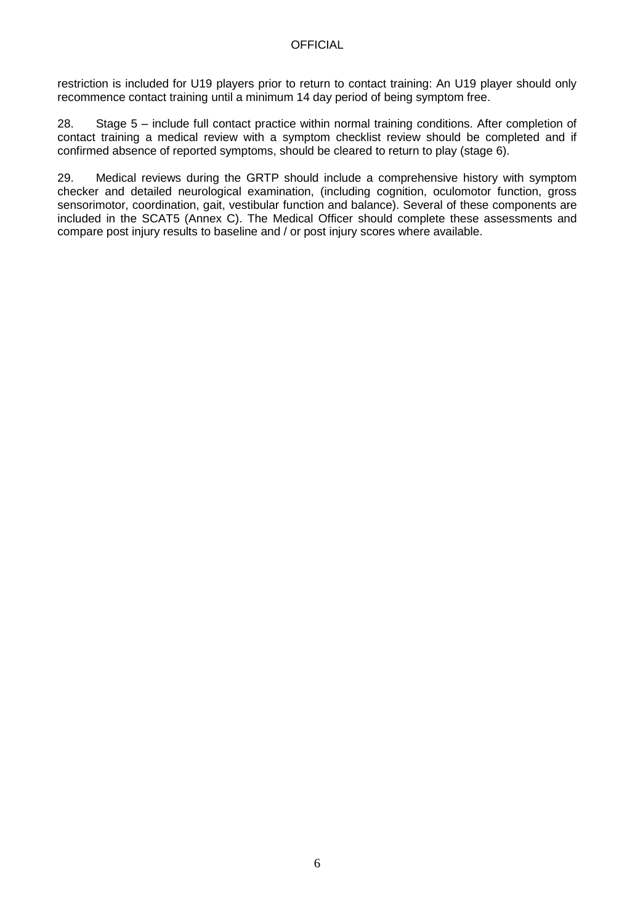restriction is included for U19 players prior to return to contact training: An U19 player should only recommence contact training until a minimum 14 day period of being symptom free.

28. Stage 5 – include full contact practice within normal training conditions. After completion of contact training a medical review with a symptom checklist review should be completed and if confirmed absence of reported symptoms, should be cleared to return to play (stage 6).

<span id="page-5-0"></span>29. Medical reviews during the GRTP should include a comprehensive history with symptom checker and detailed neurological examination, (including cognition, oculomotor function, gross sensorimotor, coordination, gait, vestibular function and balance). Several of these components are included in the SCAT5 (Annex C). The Medical Officer should complete these assessments and compare post injury results to baseline and / or post injury scores where available.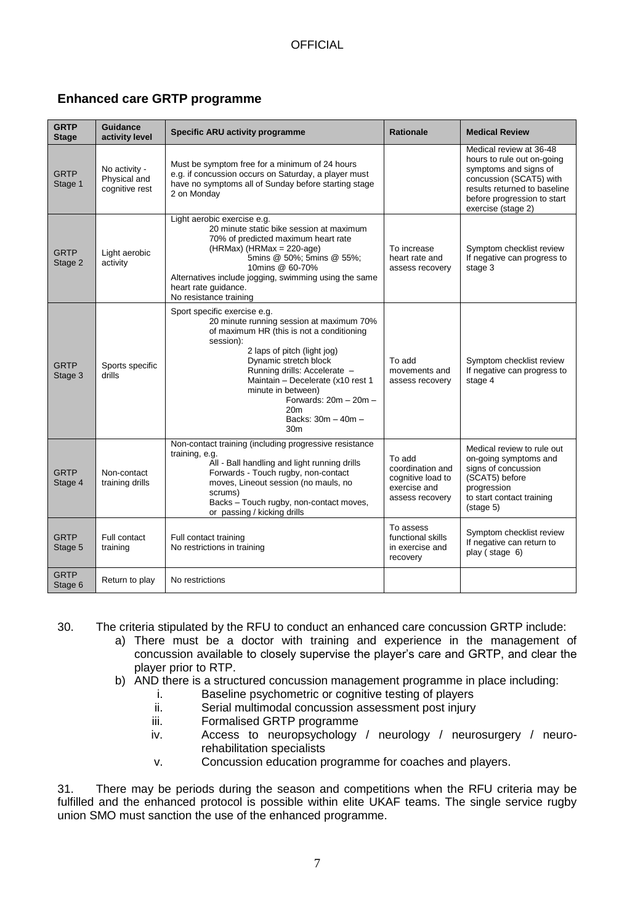## **Enhanced care GRTP programme**

| <b>GRTP</b><br><b>Stage</b> | <b>Guidance</b><br>activity level               | <b>Specific ARU activity programme</b>                                                                                                                                                                                                                                                                                                                                         | <b>Rationale</b>                                                                   | <b>Medical Review</b>                                                                                                                                                                          |
|-----------------------------|-------------------------------------------------|--------------------------------------------------------------------------------------------------------------------------------------------------------------------------------------------------------------------------------------------------------------------------------------------------------------------------------------------------------------------------------|------------------------------------------------------------------------------------|------------------------------------------------------------------------------------------------------------------------------------------------------------------------------------------------|
| <b>GRTP</b><br>Stage 1      | No activity -<br>Physical and<br>cognitive rest | Must be symptom free for a minimum of 24 hours<br>e.g. if concussion occurs on Saturday, a player must<br>have no symptoms all of Sunday before starting stage<br>2 on Monday                                                                                                                                                                                                  |                                                                                    | Medical review at 36-48<br>hours to rule out on-going<br>symptoms and signs of<br>concussion (SCAT5) with<br>results returned to baseline<br>before progression to start<br>exercise (stage 2) |
| <b>GRTP</b><br>Stage 2      | Light aerobic<br>activity                       | Light aerobic exercise e.g.<br>20 minute static bike session at maximum<br>70% of predicted maximum heart rate<br>$(HRMax)$ (HRMax = 220-age)<br>5mins @ 50%; 5mins @ 55%;<br>10mins @ 60-70%<br>Alternatives include jogging, swimming using the same<br>heart rate quidance.<br>No resistance training                                                                       | To increase<br>heart rate and<br>assess recovery                                   | Symptom checklist review<br>If negative can progress to<br>stage 3                                                                                                                             |
| <b>GRTP</b><br>Stage 3      | Sports specific<br>drills                       | Sport specific exercise e.g.<br>20 minute running session at maximum 70%<br>of maximum HR (this is not a conditioning<br>session):<br>2 laps of pitch (light jog)<br>Dynamic stretch block<br>Running drills: Accelerate -<br>Maintain - Decelerate (x10 rest 1<br>minute in between)<br>Forwards: $20m - 20m -$<br>20 <sub>m</sub><br>Backs: $30m - 40m -$<br>30 <sub>m</sub> | To add<br>movements and<br>assess recovery                                         | Symptom checklist review<br>If negative can progress to<br>stage 4                                                                                                                             |
| <b>GRTP</b><br>Stage 4      | Non-contact<br>training drills                  | Non-contact training (including progressive resistance<br>training, e.g.<br>All - Ball handling and light running drills<br>Forwards - Touch rugby, non-contact<br>moves, Lineout session (no mauls, no<br>scrums)<br>Backs - Touch rugby, non-contact moves,<br>or passing / kicking drills                                                                                   | To add<br>coordination and<br>cognitive load to<br>exercise and<br>assess recovery | Medical review to rule out<br>on-going symptoms and<br>signs of concussion<br>(SCAT5) before<br>progression<br>to start contact training<br>$(s \text{tage } 5)$                               |
| <b>GRTP</b><br>Stage 5      | Full contact<br>training                        | Full contact training<br>No restrictions in training                                                                                                                                                                                                                                                                                                                           | To assess<br>functional skills<br>in exercise and<br>recovery                      | Symptom checklist review<br>If negative can return to<br>play (stage 6)                                                                                                                        |
| <b>GRTP</b><br>Stage 6      | Return to play                                  | No restrictions                                                                                                                                                                                                                                                                                                                                                                |                                                                                    |                                                                                                                                                                                                |

30. The criteria stipulated by the RFU to conduct an enhanced care concussion GRTP include:

- a) There must be a doctor with training and experience in the management of concussion available to closely supervise the player's care and GRTP, and clear the player prior to RTP.
- b) AND there is a structured concussion management programme in place including:
	- i. Baseline psychometric or cognitive testing of players
	- ii. Serial multimodal concussion assessment post injury
	- iii. Formalised GRTP programme
	- iv. Access to neuropsychology / neurology / neurosurgery / neurorehabilitation specialists
	- v. Concussion education programme for coaches and players.

31. There may be periods during the season and competitions when the RFU criteria may be fulfilled and the enhanced protocol is possible within elite UKAF teams. The single service rugby union SMO must sanction the use of the enhanced programme.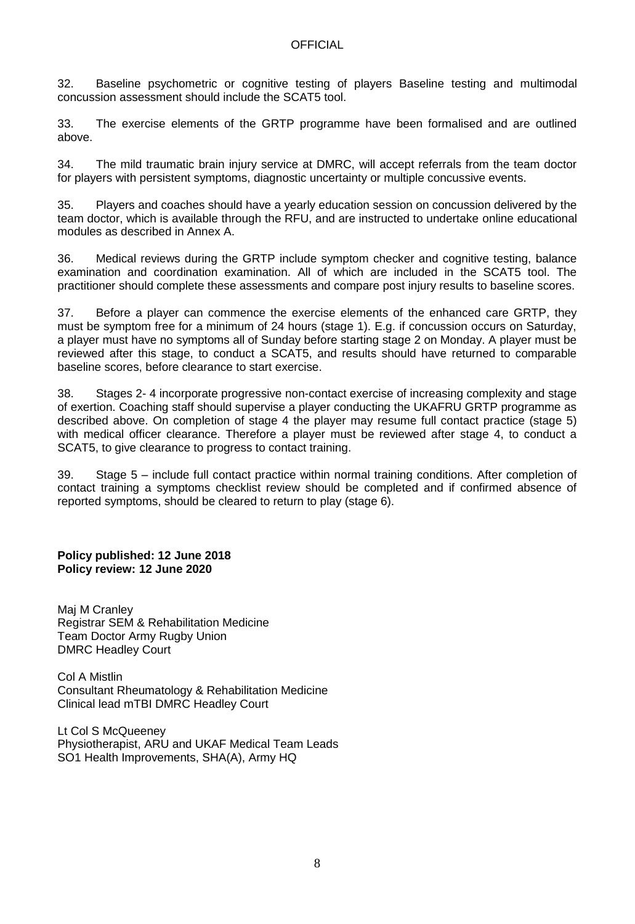32. Baseline psychometric or cognitive testing of players Baseline testing and multimodal concussion assessment should include the SCAT5 tool.

33. The exercise elements of the GRTP programme have been formalised and are outlined above.

34. The mild traumatic brain injury service at DMRC, will accept referrals from the team doctor for players with persistent symptoms, diagnostic uncertainty or multiple concussive events.

35. Players and coaches should have a yearly education session on concussion delivered by the team doctor, which is available through the RFU, and are instructed to undertake online educational modules as described in Annex A.

36. Medical reviews during the GRTP include symptom checker and cognitive testing, balance examination and coordination examination. All of which are included in the SCAT5 tool. The practitioner should complete these assessments and compare post injury results to baseline scores.

37. Before a player can commence the exercise elements of the enhanced care GRTP, they must be symptom free for a minimum of 24 hours (stage 1). E.g. if concussion occurs on Saturday, a player must have no symptoms all of Sunday before starting stage 2 on Monday. A player must be reviewed after this stage, to conduct a SCAT5, and results should have returned to comparable baseline scores, before clearance to start exercise.

38. Stages 2- 4 incorporate progressive non-contact exercise of increasing complexity and stage of exertion. Coaching staff should supervise a player conducting the UKAFRU GRTP programme as described above. On completion of stage 4 the player may resume full contact practice (stage 5) with medical officer clearance. Therefore a player must be reviewed after stage 4, to conduct a SCAT5, to give clearance to progress to contact training.

39. Stage 5 – include full contact practice within normal training conditions. After completion of contact training a symptoms checklist review should be completed and if confirmed absence of reported symptoms, should be cleared to return to play (stage 6).

**Policy published: 12 June 2018 Policy review: 12 June 2020**

Maj M Cranley Registrar SEM & Rehabilitation Medicine Team Doctor Army Rugby Union DMRC Headley Court

Col A Mistlin Consultant Rheumatology & Rehabilitation Medicine Clinical lead mTBI DMRC Headley Court

Lt Col S McQueeney Physiotherapist, ARU and UKAF Medical Team Leads SO1 Health Improvements, SHA(A), Army HQ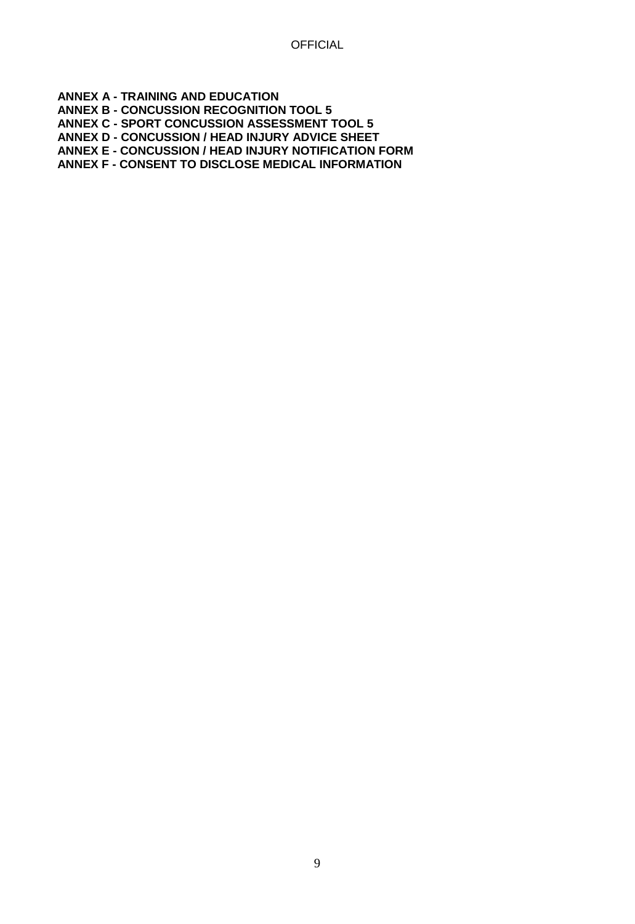**ANNEX A - TRAINING AND EDUCATION ANNEX B - CONCUSSION RECOGNITION TOOL 5 ANNEX C - SPORT CONCUSSION ASSESSMENT TOOL 5 ANNEX D - CONCUSSION / HEAD INJURY ADVICE SHEET ANNEX E - CONCUSSION / HEAD INJURY NOTIFICATION FORM ANNEX F - CONSENT TO DISCLOSE MEDICAL INFORMATION**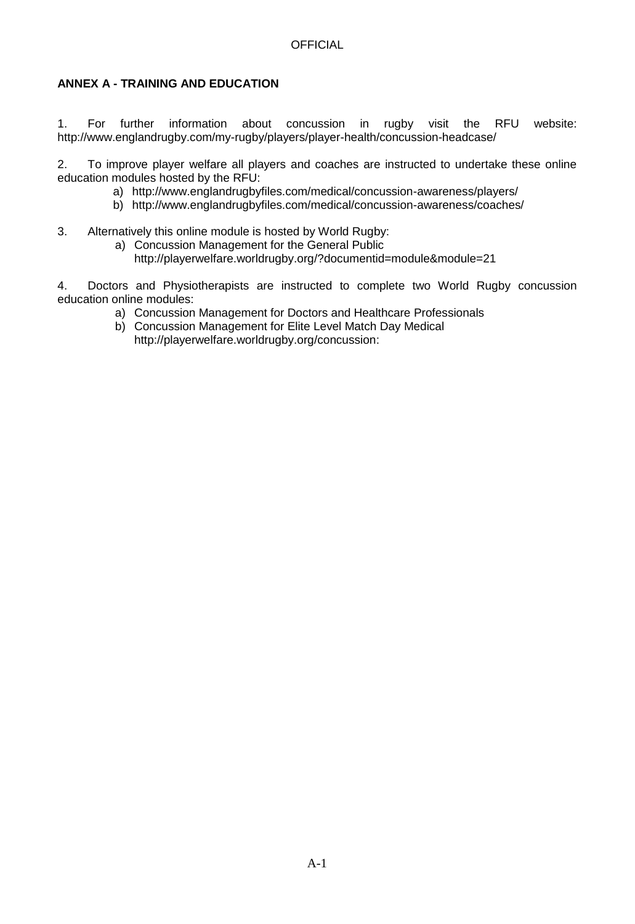### **ANNEX A - TRAINING AND EDUCATION**

1. For further information about concussion in rugby visit the RFU website: <http://www.englandrugby.com/my-rugby/players/player-health/concussion-headcase/>

2. To improve player welfare all players and coaches are instructed to undertake these online education modules hosted by the RFU:

- a) <http://www.englandrugbyfiles.com/medical/concussion-awareness/players/>
- b) <http://www.englandrugbyfiles.com/medical/concussion-awareness/coaches/>
- 3. Alternatively this online module is hosted by World Rugby:
	- a) Concussion Management for the General Public
		- <http://playerwelfare.worldrugby.org/?documentid=module&module=21>

4. Doctors and Physiotherapists are instructed to complete two World Rugby concussion education online modules:

- a) Concussion Management for Doctors and Healthcare Professionals
- b) Concussion Management for Elite Level Match Day Medical [http://playerwelfare.worldrugby.org/concussion:](http://playerwelfare.worldrugby.org/concussion)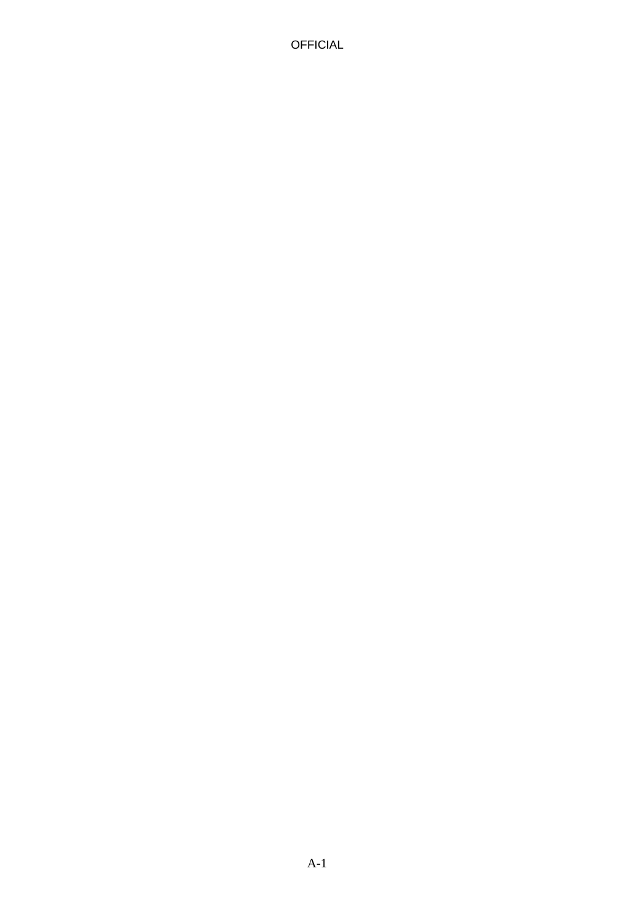A-1

### OFFICIAL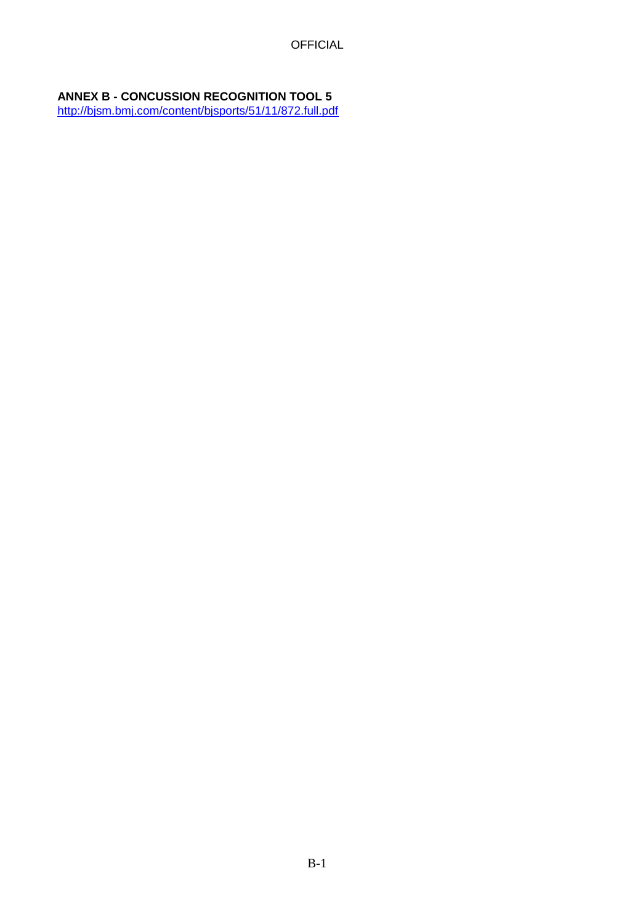**ANNEX B - CONCUSSION RECOGNITION TOOL 5**  <http://bjsm.bmj.com/content/bjsports/51/11/872.full.pdf>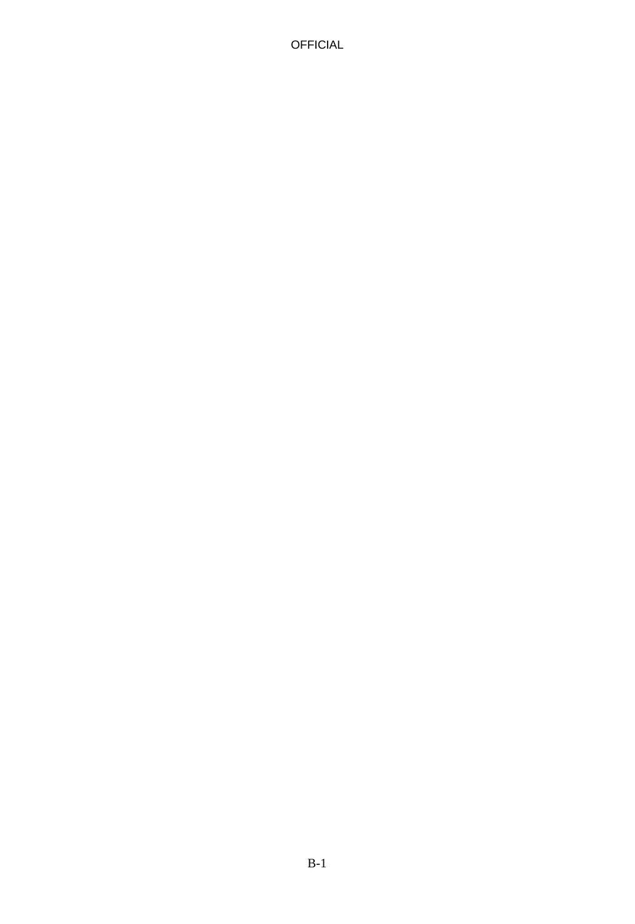B-1

### OFFICIAL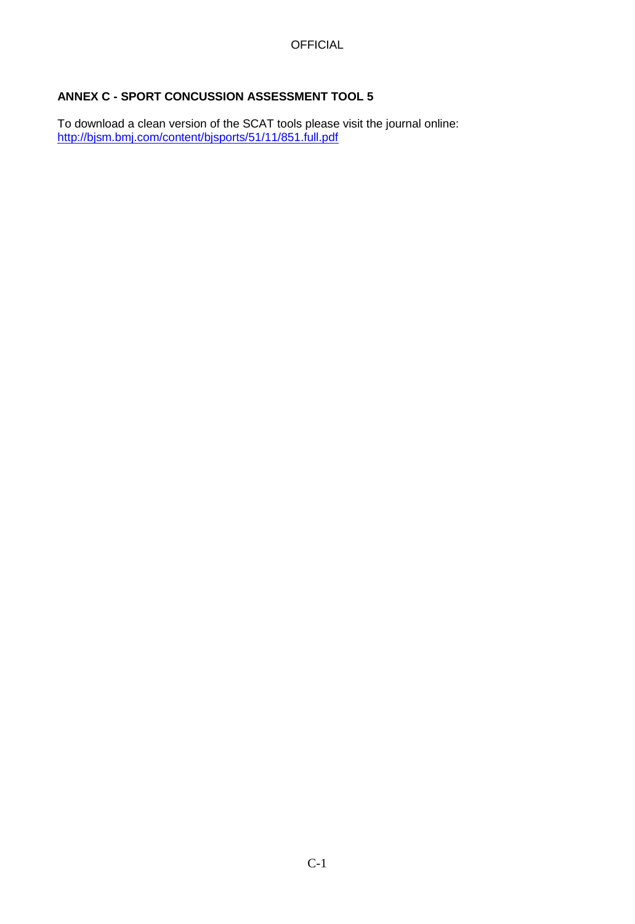## **ANNEX C - SPORT CONCUSSION ASSESSMENT TOOL 5**

To download a clean version of the SCAT tools please visit the journal online: <http://bjsm.bmj.com/content/bjsports/51/11/851.full.pdf>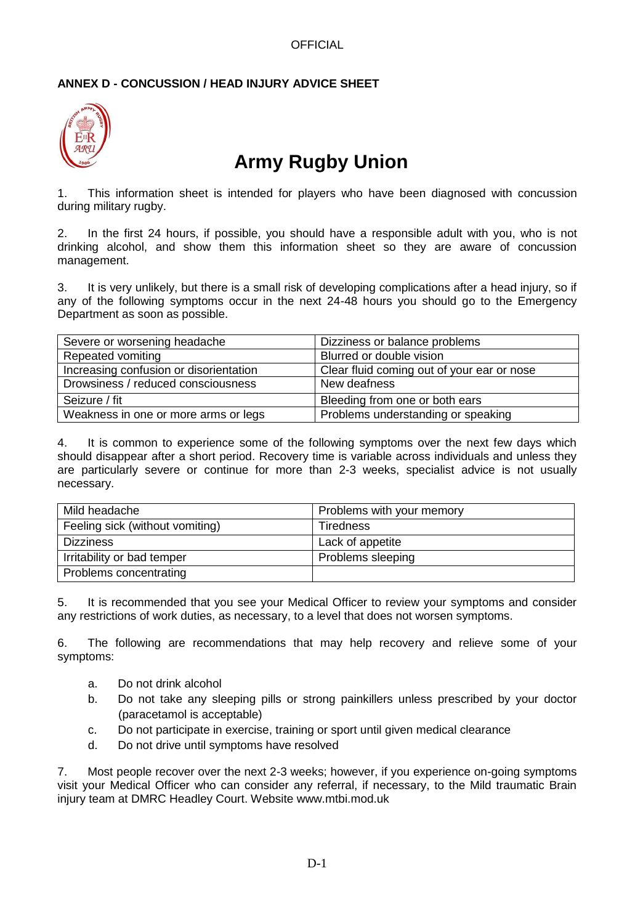## **ANNEX D - CONCUSSION / HEAD INJURY ADVICE SHEET**



## **Army Rugby Union**

1. This information sheet is intended for players who have been diagnosed with concussion during military rugby.

2. In the first 24 hours, if possible, you should have a responsible adult with you, who is not drinking alcohol, and show them this information sheet so they are aware of concussion management.

3. It is very unlikely, but there is a small risk of developing complications after a head injury, so if any of the following symptoms occur in the next 24-48 hours you should go to the Emergency Department as soon as possible.

| Severe or worsening headache           | Dizziness or balance problems              |
|----------------------------------------|--------------------------------------------|
| Repeated vomiting                      | Blurred or double vision                   |
| Increasing confusion or disorientation | Clear fluid coming out of your ear or nose |
| Drowsiness / reduced consciousness     | New deafness                               |
| Seizure / fit                          | Bleeding from one or both ears             |
| Weakness in one or more arms or legs   | Problems understanding or speaking         |

4. It is common to experience some of the following symptoms over the next few days which should disappear after a short period. Recovery time is variable across individuals and unless they are particularly severe or continue for more than 2-3 weeks, specialist advice is not usually necessary.

| Mild headache                   | Problems with your memory |
|---------------------------------|---------------------------|
| Feeling sick (without vomiting) | <b>Tiredness</b>          |
| <b>Dizziness</b>                | Lack of appetite          |
| Irritability or bad temper      | Problems sleeping         |
| Problems concentrating          |                           |

5. It is recommended that you see your Medical Officer to review your symptoms and consider any restrictions of work duties, as necessary, to a level that does not worsen symptoms.

6. The following are recommendations that may help recovery and relieve some of your symptoms:

- a. Do not drink alcohol
- b. Do not take any sleeping pills or strong painkillers unless prescribed by your doctor (paracetamol is acceptable)
- c. Do not participate in exercise, training or sport until given medical clearance
- d. Do not drive until symptoms have resolved

7. Most people recover over the next 2-3 weeks; however, if you experience on-going symptoms visit your Medical Officer who can consider any referral, if necessary, to the Mild traumatic Brain injury team at DMRC Headley Court. Website [www.mtbi.mod.uk](http://www.mtbi.mod.uk/)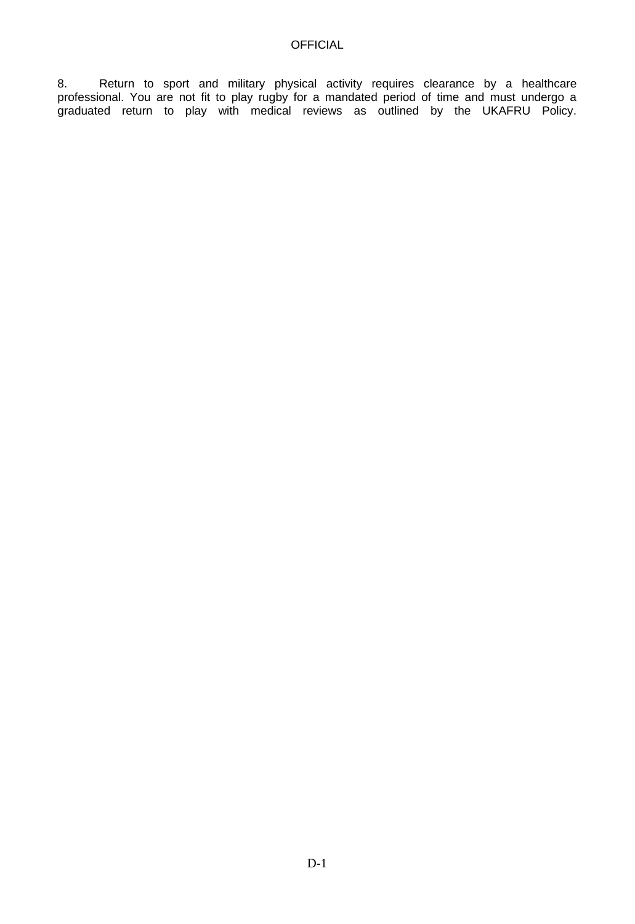8. Return to sport and military physical activity requires clearance by a healthcare professional. You are not fit to play rugby for a mandated period of time and must undergo a graduated return to play with medical reviews as outlined by the UKAFRU Policy.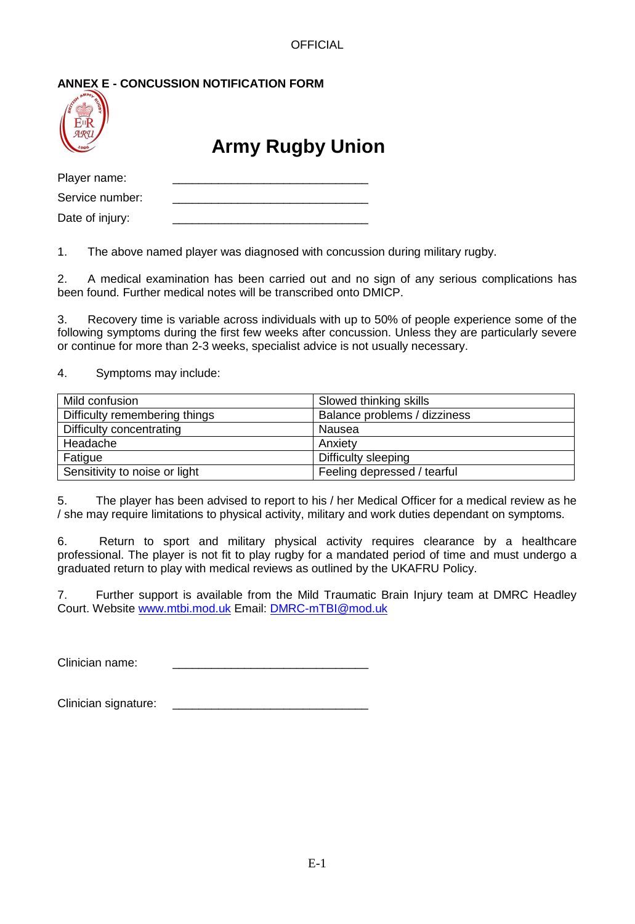## **ANNEX E - CONCUSSION NOTIFICATION FORM**



## **Army Rugby Union**

| Player name:    |  |
|-----------------|--|
| Service number: |  |
| Date of injury: |  |

1. The above named player was diagnosed with concussion during military rugby.

2. A medical examination has been carried out and no sign of any serious complications has been found. Further medical notes will be transcribed onto DMICP.

3. Recovery time is variable across individuals with up to 50% of people experience some of the following symptoms during the first few weeks after concussion. Unless they are particularly severe or continue for more than 2-3 weeks, specialist advice is not usually necessary.

4. Symptoms may include:

| Mild confusion                | Slowed thinking skills       |
|-------------------------------|------------------------------|
| Difficulty remembering things | Balance problems / dizziness |
| Difficulty concentrating      | Nausea                       |
| Headache                      | Anxiety                      |
| Fatigue                       | Difficulty sleeping          |
| Sensitivity to noise or light | Feeling depressed / tearful  |

5. The player has been advised to report to his / her Medical Officer for a medical review as he / she may require limitations to physical activity, military and work duties dependant on symptoms.

6. Return to sport and military physical activity requires clearance by a healthcare professional. The player is not fit to play rugby for a mandated period of time and must undergo a graduated return to play with medical reviews as outlined by the UKAFRU Policy.

7. Further support is available from the Mild Traumatic Brain Injury team at DMRC Headley Court. Website [www.mtbi.mod.uk](http://www.mtbi.mod.uk/) Email: [DMRC-mTBI@mod.uk](mailto:DMRC-mTBI@mod.uk)

Clinician name:

Clinician signature: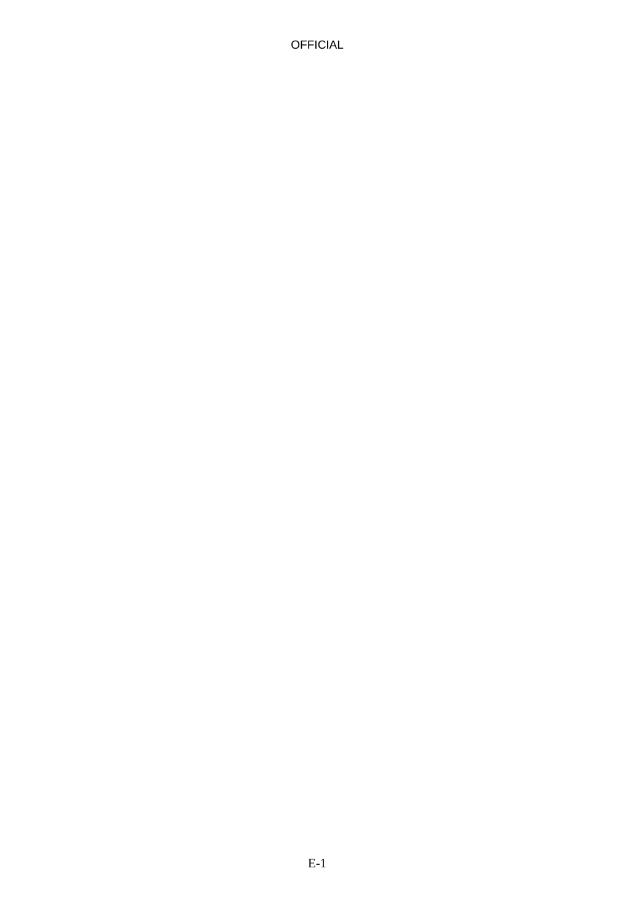E-1

### OFFICIAL